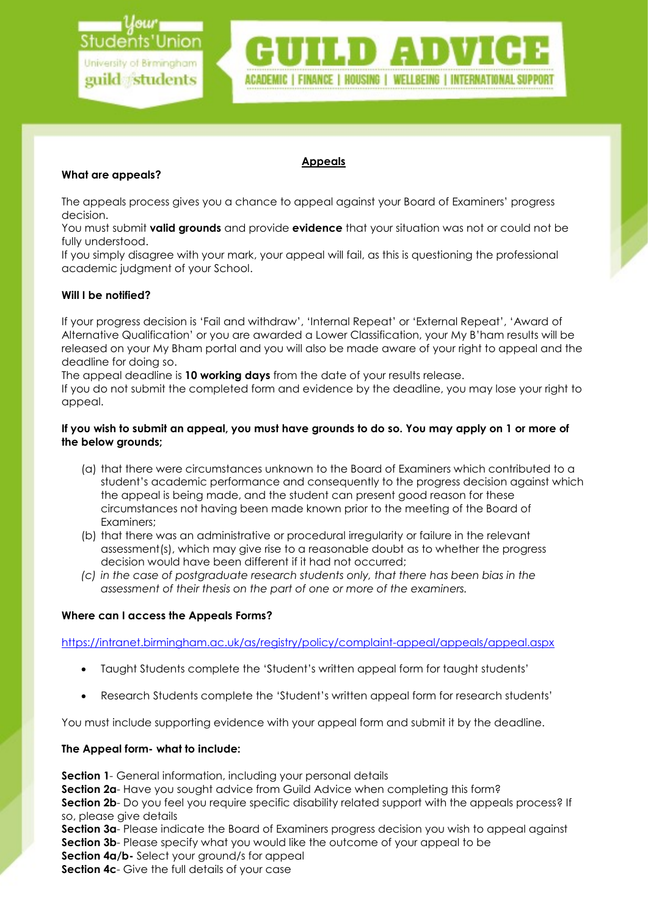

### Appeals

# What are appeals?

The appeals process gives you a chance to appeal against your Board of Examiners' progress decision.

You must submit valid grounds and provide evidence that your situation was not or could not be fully understood.

If you simply disagree with your mark, your appeal will fail, as this is questioning the professional academic judgment of your School.

## Will I be notified?

If your progress decision is 'Fail and withdraw', 'Internal Repeat' or 'External Repeat', 'Award of Alternative Qualification' or you are awarded a Lower Classification, your My B'ham results will be released on your My Bham portal and you will also be made aware of your right to appeal and the deadline for doing so.

The appeal deadline is 10 working days from the date of your results release.

If you do not submit the completed form and evidence by the deadline, you may lose your right to appeal.

## If you wish to submit an appeal, you must have grounds to do so. You may apply on 1 or more of the below grounds;

- (a) that there were circumstances unknown to the Board of Examiners which contributed to a student's academic performance and consequently to the progress decision against which the appeal is being made, and the student can present good reason for these circumstances not having been made known prior to the meeting of the Board of Examiners;
- (b) that there was an administrative or procedural irregularity or failure in the relevant assessment(s), which may give rise to a reasonable doubt as to whether the progress decision would have been different if it had not occurred;
- (c) in the case of postgraduate research students only, that there has been bias in the assessment of their thesis on the part of one or more of the examiners.

### Where can I access the Appeals Forms?

https://intranet.birmingham.ac.uk/as/registry/policy/complaint-appeal/appeals/appeal.aspx

- Taught Students complete the 'Student's written appeal form for taught students'
- Research Students complete the 'Student's written appeal form for research students'

You must include supporting evidence with your appeal form and submit it by the deadline.

# The Appeal form- what to include:

**Section 1**- General information, including your personal details

Section 2a- Have you sought advice from Guild Advice when completing this form?

Section 2b- Do you feel you require specific disability related support with the appeals process? If so, please give details

Section 3a- Please indicate the Board of Examiners progress decision you wish to appeal against **Section 3b**- Please specify what you would like the outcome of your appeal to be Section 4a/b- Select your ground/s for appeal

Section 4c- Give the full details of your case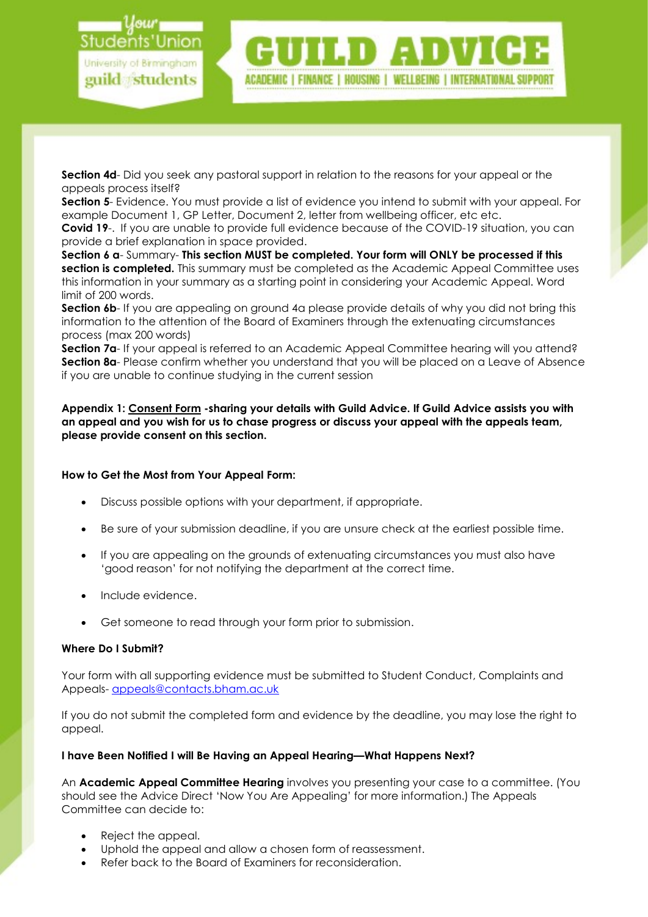

Section 4d- Did you seek any pastoral support in relation to the reasons for your appeal or the appeals process itself?

Section 5- Evidence. You must provide a list of evidence you intend to submit with your appeal. For example Document 1, GP Letter, Document 2, letter from wellbeing officer, etc etc.

Covid 19-. If you are unable to provide full evidence because of the COVID-19 situation, you can provide a brief explanation in space provided.

Section 6 a- Summary- This section MUST be completed. Your form will ONLY be processed if this section is completed. This summary must be completed as the Academic Appeal Committee uses this information in your summary as a starting point in considering your Academic Appeal. Word limit of 200 words.

**Section 6b-** If you are appealing on ground 4a please provide details of why you did not bring this information to the attention of the Board of Examiners through the extenuating circumstances process (max 200 words)

Section 7a- If your appeal is referred to an Academic Appeal Committee hearing will you attend? Section 8a- Please confirm whether you understand that you will be placed on a Leave of Absence if you are unable to continue studying in the current session

Appendix 1: Consent Form -sharing your details with Guild Advice. If Guild Advice assists you with an appeal and you wish for us to chase progress or discuss your appeal with the appeals team, please provide consent on this section.

# How to Get the Most from Your Appeal Form:

- Discuss possible options with your department, if appropriate.
- Be sure of your submission deadline, if you are unsure check at the earliest possible time.
- If you are appealing on the grounds of extenuating circumstances you must also have 'good reason' for not notifying the department at the correct time.
- Include evidence.
- Get someone to read through your form prior to submission.

### Where Do I Submit?

Your form with all supporting evidence must be submitted to Student Conduct, Complaints and Appeals- appeals@contacts.bham.ac.uk

If you do not submit the completed form and evidence by the deadline, you may lose the right to appeal.

### I have Been Notified I will Be Having an Appeal Hearing—What Happens Next?

An **Academic Appeal Committee Hearing** involves you presenting your case to a committee. (You should see the Advice Direct 'Now You Are Appealing' for more information.) The Appeals Committee can decide to:

- Reject the appeal.
- Uphold the appeal and allow a chosen form of reassessment.
- Refer back to the Board of Examiners for reconsideration.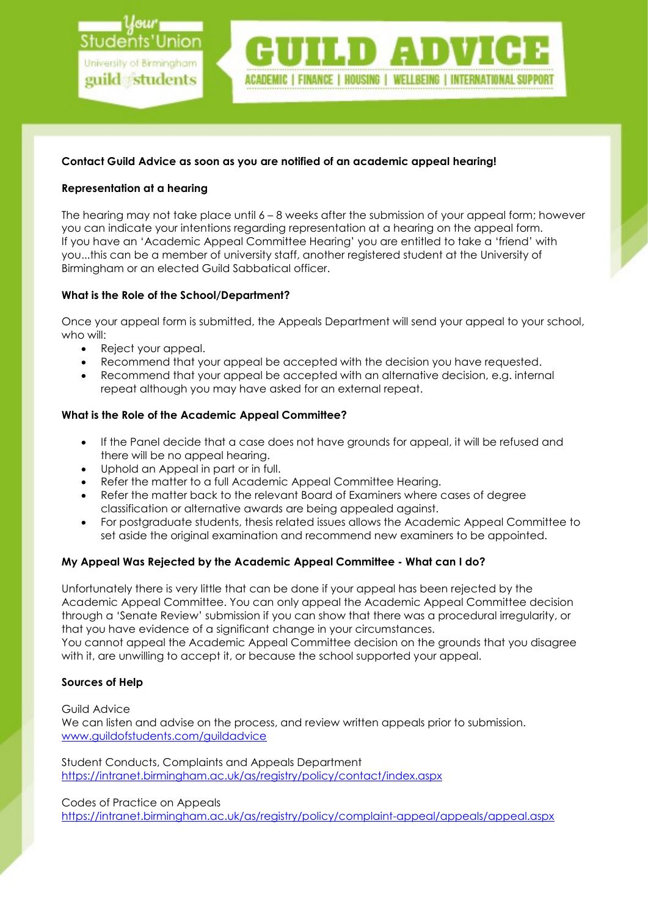

## Contact Guild Advice as soon as you are notified of an academic appeal hearing!

## Representation at a hearing

The hearing may not take place until  $6 - 8$  weeks after the submission of your appeal form; however you can indicate your intentions regarding representation at a hearing on the appeal form. If you have an 'Academic Appeal Committee Hearing' you are entitled to take a 'friend' with you...this can be a member of university staff, another registered student at the University of Birmingham or an elected Guild Sabbatical officer.

## What is the Role of the School/Department?

Once your appeal form is submitted, the Appeals Department will send your appeal to your school, who will:

- Reject your appeal.
- Recommend that your appeal be accepted with the decision you have requested.
- Recommend that your appeal be accepted with an alternative decision, e.g. internal repeat although you may have asked for an external repeat.

## What is the Role of the Academic Appeal Committee?

- If the Panel decide that a case does not have grounds for appeal, it will be refused and there will be no appeal hearing.
- 
- Uphold an Appeal in part or in full.<br>• Refer the matter to a full Academia Refer the matter to a full Academic Appeal Committee Hearing.
- Refer the matter back to the relevant Board of Examiners where cases of degree classification or alternative awards are being appealed against.
- For postgraduate students, thesis related issues allows the Academic Appeal Committee to set aside the original examination and recommend new examiners to be appointed.

# My Appeal Was Rejected by the Academic Appeal Committee - What can I do?

Unfortunately there is very little that can be done if your appeal has been rejected by the Academic Appeal Committee. You can only appeal the Academic Appeal Committee decision through a 'Senate Review' submission if you can show that there was a procedural irregularity, or that you have evidence of a significant change in your circumstances.

You cannot appeal the Academic Appeal Committee decision on the grounds that you disagree with it, are unwilling to accept it, or because the school supported your appeal.

### Sources of Help

Guild Advice

We can listen and advise on the process, and review written appeals prior to submission. www.guildofstudents.com/guildadvice

Student Conducts, Complaints and Appeals Department https://intranet.birmingham.ac.uk/as/registry/policy/contact/index.aspx

### Codes of Practice on Appeals

https://intranet.birmingham.ac.uk/as/registry/policy/complaint-appeal/appeals/appeal.aspx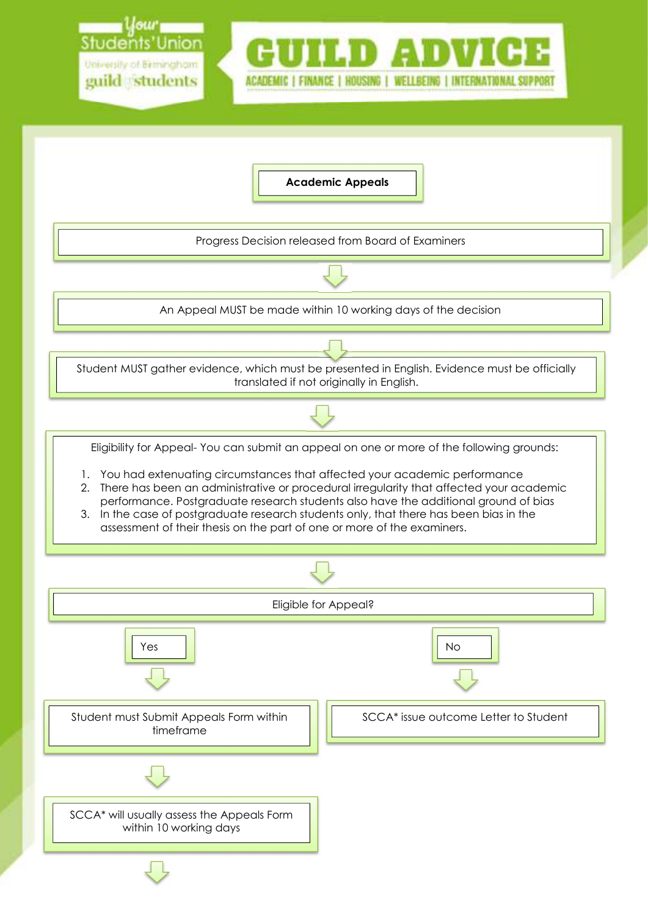

Academic Appeals